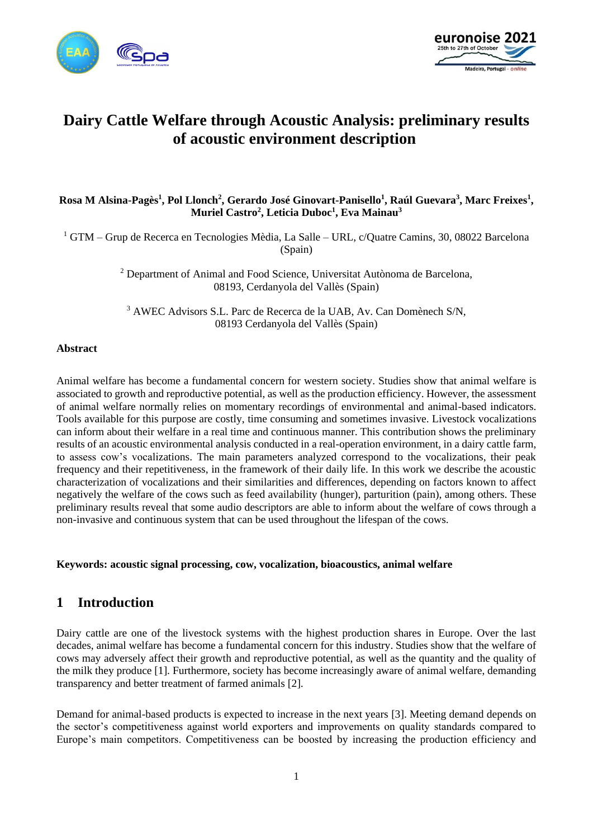



# **Dairy Cattle Welfare through Acoustic Analysis: preliminary results of acoustic environment description**

### **Rosa M Alsina-Pagès<sup>1</sup> , Pol Llonch<sup>2</sup> , Gerardo José Ginovart-Panisello<sup>1</sup> , Raúl Guevara<sup>3</sup> , Marc Freixes<sup>1</sup> , Muriel Castro<sup>2</sup> , Leticia Duboc<sup>1</sup> , Eva Mainau<sup>3</sup>**

<sup>1</sup> GTM – Grup de Recerca en Tecnologies Mèdia, La Salle – URL, c/Quatre Camins, 30, 08022 Barcelona (Spain)

> <sup>2</sup> Department of Animal and Food Science, Universitat Autònoma de Barcelona, 08193, Cerdanyola del Vallès (Spain)

<sup>3</sup> AWEC Advisors S.L. Parc de Recerca de la UAB, Av. Can Domènech S/N, 08193 Cerdanyola del Vallès (Spain)

#### **Abstract**

Animal welfare has become a fundamental concern for western society. Studies show that animal welfare is associated to growth and reproductive potential, as well as the production efficiency. However, the assessment of animal welfare normally relies on momentary recordings of environmental and animal-based indicators. Tools available for this purpose are costly, time consuming and sometimes invasive. Livestock vocalizations can inform about their welfare in a real time and continuous manner. This contribution shows the preliminary results of an acoustic environmental analysis conducted in a real-operation environment, in a dairy cattle farm, to assess cow's vocalizations. The main parameters analyzed correspond to the vocalizations, their peak frequency and their repetitiveness, in the framework of their daily life. In this work we describe the acoustic characterization of vocalizations and their similarities and differences, depending on factors known to affect negatively the welfare of the cows such as feed availability (hunger), parturition (pain), among others. These preliminary results reveal that some audio descriptors are able to inform about the welfare of cows through a non-invasive and continuous system that can be used throughout the lifespan of the cows.

**Keywords: acoustic signal processing, cow, vocalization, bioacoustics, animal welfare**

## **1 Introduction**

Dairy cattle are one of the livestock systems with the highest production shares in Europe. Over the last decades, animal welfare has become a fundamental concern for this industry. Studies show that the welfare of cows may adversely affect their growth and reproductive potential, as well as the quantity and the quality of the milk they produce [1]. Furthermore, society has become increasingly aware of animal welfare, demanding transparency and better treatment of farmed animals [2].

Demand for animal-based products is expected to increase in the next years [3]. Meeting demand depends on the sector's competitiveness against world exporters and improvements on quality standards compared to Europe's main competitors. Competitiveness can be boosted by increasing the production efficiency and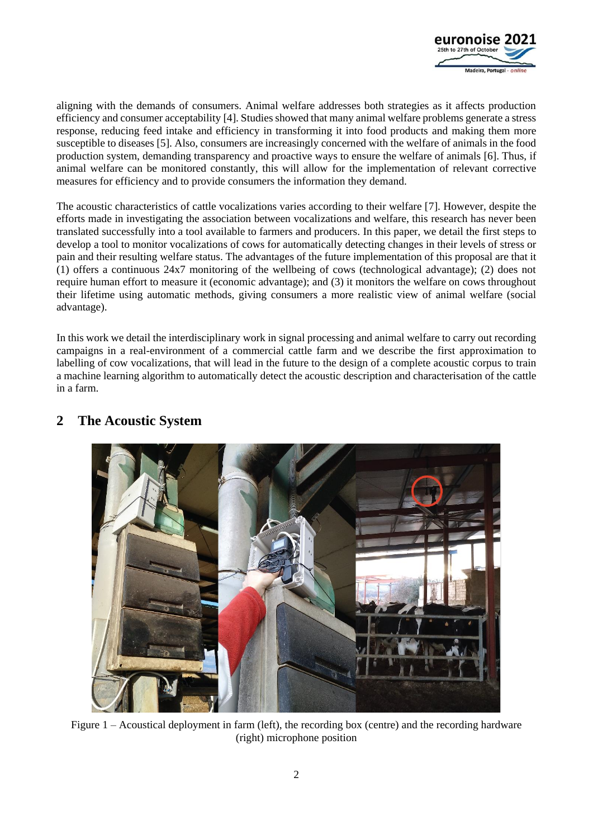

aligning with the demands of consumers. Animal welfare addresses both strategies as it affects production efficiency and consumer acceptability [4]. Studies showed that many animal welfare problems generate a stress response, reducing feed intake and efficiency in transforming it into food products and making them more susceptible to diseases [5]. Also, consumers are increasingly concerned with the welfare of animals in the food production system, demanding transparency and proactive ways to ensure the welfare of animals [6]. Thus, if animal welfare can be monitored constantly, this will allow for the implementation of relevant corrective measures for efficiency and to provide consumers the information they demand.

The acoustic characteristics of cattle vocalizations varies according to their welfare [7]. However, despite the efforts made in investigating the association between vocalizations and welfare, this research has never been translated successfully into a tool available to farmers and producers. In this paper, we detail the first steps to develop a tool to monitor vocalizations of cows for automatically detecting changes in their levels of stress or pain and their resulting welfare status. The advantages of the future implementation of this proposal are that it (1) offers a continuous 24x7 monitoring of the wellbeing of cows (technological advantage); (2) does not require human effort to measure it (economic advantage); and (3) it monitors the welfare on cows throughout their lifetime using automatic methods, giving consumers a more realistic view of animal welfare (social advantage).

In this work we detail the interdisciplinary work in signal processing and animal welfare to carry out recording campaigns in a real-environment of a commercial cattle farm and we describe the first approximation to labelling of cow vocalizations, that will lead in the future to the design of a complete acoustic corpus to train a machine learning algorithm to automatically detect the acoustic description and characterisation of the cattle in a farm.



# **2 The Acoustic System**

Figure 1 – Acoustical deployment in farm (left), the recording box (centre) and the recording hardware (right) microphone position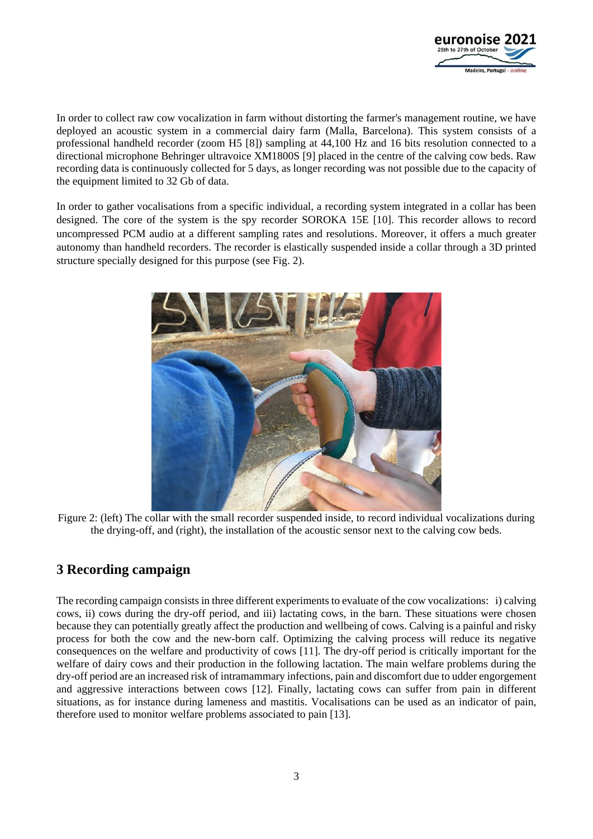

In order to collect raw cow vocalization in farm without distorting the farmer's management routine, we have deployed an acoustic system in a commercial dairy farm (Malla, Barcelona). This system consists of a professional handheld recorder (zoom H5 [8]) sampling at 44,100 Hz and 16 bits resolution connected to a directional microphone Behringer ultravoice XM1800S [9] placed in the centre of the calving cow beds. Raw recording data is continuously collected for 5 days, as longer recording was not possible due to the capacity of the equipment limited to 32 Gb of data.

In order to gather vocalisations from a specific individual, a recording system integrated in a collar has been designed. The core of the system is the spy recorder SOROKA 15E [10]. This recorder allows to record uncompressed PCM audio at a different sampling rates and resolutions. Moreover, it offers a much greater autonomy than handheld recorders. The recorder is elastically suspended inside a collar through a 3D printed structure specially designed for this purpose (see Fig. 2).



Figure 2: (left) The collar with the small recorder suspended inside, to record individual vocalizations during the drying-off, and (right), the installation of the acoustic sensor next to the calving cow beds.

# **3 Recording campaign**

The recording campaign consists in three different experiments to evaluate of the cow vocalizations: i) calving cows, ii) cows during the dry-off period, and iii) lactating cows, in the barn. These situations were chosen because they can potentially greatly affect the production and wellbeing of cows. Calving is a painful and risky process for both the cow and the new-born calf. Optimizing the calving process will reduce its negative consequences on the welfare and productivity of cows [11]. The dry-off period is critically important for the welfare of dairy cows and their production in the following lactation. The main welfare problems during the dry-off period are an increased risk of intramammary infections, pain and discomfort due to udder engorgement and aggressive interactions between cows [12]. Finally, lactating cows can suffer from pain in different situations, as for instance during lameness and mastitis. Vocalisations can be used as an indicator of pain, therefore used to monitor welfare problems associated to pain [13].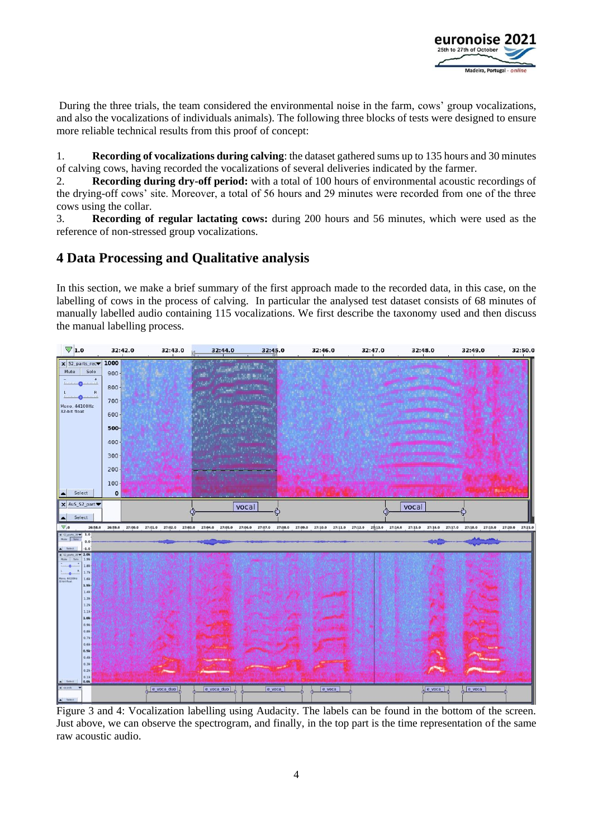

During the three trials, the team considered the environmental noise in the farm, cows' group vocalizations, and also the vocalizations of individuals animals). The following three blocks of tests were designed to ensure more reliable technical results from this proof of concept:

1. **Recording of vocalizations during calving**: the dataset gathered sums up to 135 hours and 30 minutes of calving cows, having recorded the vocalizations of several deliveries indicated by the farmer.

2. **Recording during dry-off period:** with a total of 100 hours of environmental acoustic recordings of the drying-off cows' site. Moreover, a total of 56 hours and 29 minutes were recorded from one of the three cows using the collar.

3. **Recording of regular lactating cows:** during 200 hours and 56 minutes, which were used as the reference of non-stressed group vocalizations.

# **4 Data Processing and Qualitative analysis**

In this section, we make a brief summary of the first approach made to the recorded data, in this case, on the labelling of cows in the process of calving. In particular the analysed test dataset consists of 68 minutes of manually labelled audio containing 115 vocalizations. We first describe the taxonomy used and then discuss the manual labelling process.



Figure 3 and 4: Vocalization labelling using Audacity. The labels can be found in the bottom of the screen. Just above, we can observe the spectrogram, and finally, in the top part is the time representation of the same raw acoustic audio.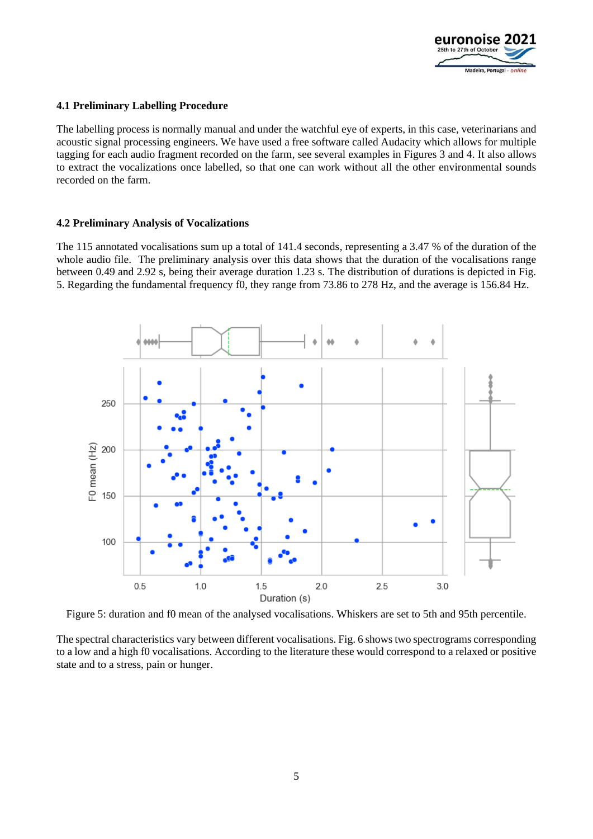

#### **4.1 Preliminary Labelling Procedure**

The labelling process is normally manual and under the watchful eye of experts, in this case, veterinarians and acoustic signal processing engineers. We have used a free software called Audacity which allows for multiple tagging for each audio fragment recorded on the farm, see several examples in Figures 3 and 4. It also allows to extract the vocalizations once labelled, so that one can work without all the other environmental sounds recorded on the farm.

#### **4.2 Preliminary Analysis of Vocalizations**

The 115 annotated vocalisations sum up a total of 141.4 seconds, representing a 3.47 % of the duration of the whole audio file. The preliminary analysis over this data shows that the duration of the vocalisations range between 0.49 and 2.92 s, being their average duration 1.23 s. The distribution of durations is depicted in Fig. 5. Regarding the fundamental frequency f0, they range from 73.86 to 278 Hz, and the average is 156.84 Hz.



Figure 5: duration and f0 mean of the analysed vocalisations. Whiskers are set to 5th and 95th percentile.

The spectral characteristics vary between different vocalisations. Fig. 6 shows two spectrograms corresponding to a low and a high f0 vocalisations. According to the literature these would correspond to a relaxed or positive state and to a stress, pain or hunger.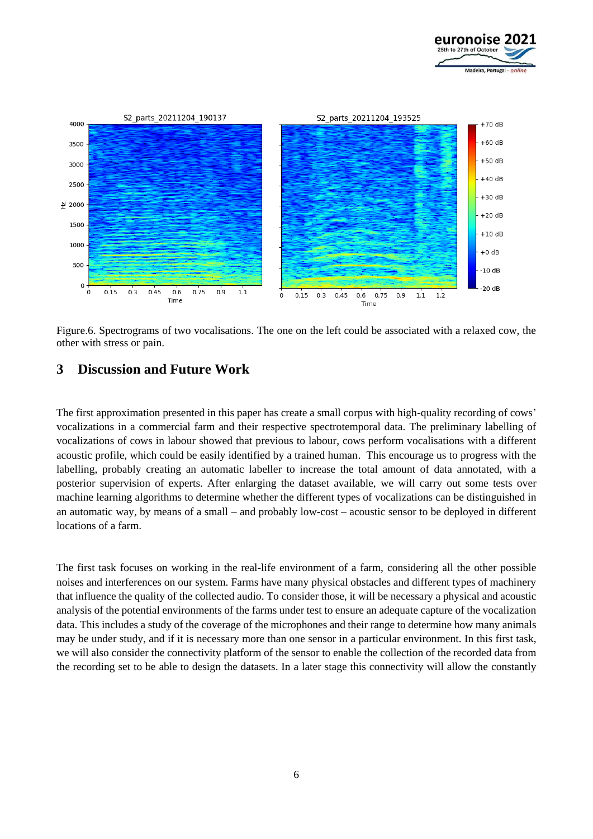



Figure.6. Spectrograms of two vocalisations. The one on the left could be associated with a relaxed cow, the other with stress or pain.

## **3 Discussion and Future Work**

The first approximation presented in this paper has create a small corpus with high-quality recording of cows' vocalizations in a commercial farm and their respective spectrotemporal data. The preliminary labelling of vocalizations of cows in labour showed that previous to labour, cows perform vocalisations with a different acoustic profile, which could be easily identified by a trained human. This encourage us to progress with the labelling, probably creating an automatic labeller to increase the total amount of data annotated, with a posterior supervision of experts. After enlarging the dataset available, we will carry out some tests over machine learning algorithms to determine whether the different types of vocalizations can be distinguished in an automatic way, by means of a small – and probably low-cost – acoustic sensor to be deployed in different locations of a farm.

The first task focuses on working in the real-life environment of a farm, considering all the other possible noises and interferences on our system. Farms have many physical obstacles and different types of machinery that influence the quality of the collected audio. To consider those, it will be necessary a physical and acoustic analysis of the potential environments of the farms under test to ensure an adequate capture of the vocalization data. This includes a study of the coverage of the microphones and their range to determine how many animals may be under study, and if it is necessary more than one sensor in a particular environment. In this first task, we will also consider the connectivity platform of the sensor to enable the collection of the recorded data from the recording set to be able to design the datasets. In a later stage this connectivity will allow the constantly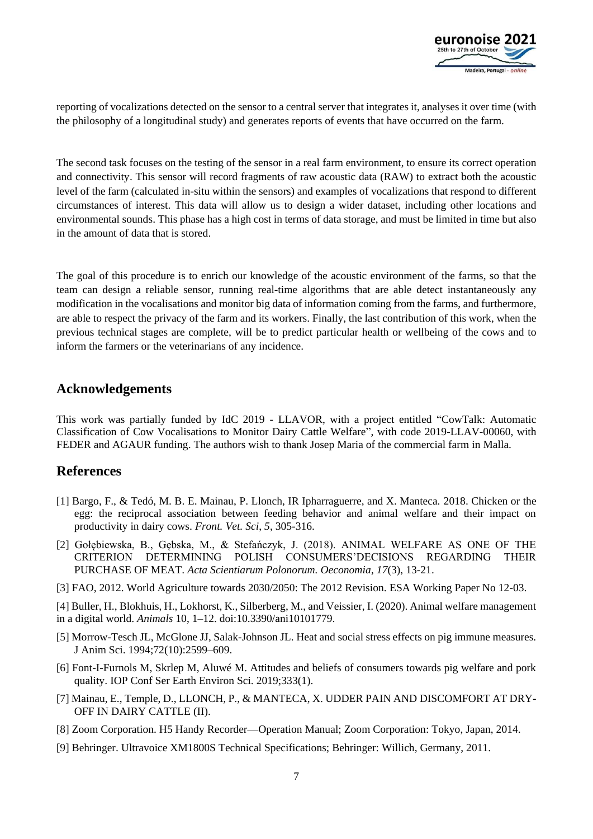

reporting of vocalizations detected on the sensor to a central server that integrates it, analyses it over time (with the philosophy of a longitudinal study) and generates reports of events that have occurred on the farm.

The second task focuses on the testing of the sensor in a real farm environment, to ensure its correct operation and connectivity. This sensor will record fragments of raw acoustic data (RAW) to extract both the acoustic level of the farm (calculated in-situ within the sensors) and examples of vocalizations that respond to different circumstances of interest. This data will allow us to design a wider dataset, including other locations and environmental sounds. This phase has a high cost in terms of data storage, and must be limited in time but also in the amount of data that is stored.

The goal of this procedure is to enrich our knowledge of the acoustic environment of the farms, so that the team can design a reliable sensor, running real-time algorithms that are able detect instantaneously any modification in the vocalisations and monitor big data of information coming from the farms, and furthermore, are able to respect the privacy of the farm and its workers. Finally, the last contribution of this work, when the previous technical stages are complete, will be to predict particular health or wellbeing of the cows and to inform the farmers or the veterinarians of any incidence.

### **Acknowledgements**

This work was partially funded by IdC 2019 - LLAVOR, with a project entitled "CowTalk: Automatic Classification of Cow Vocalisations to Monitor Dairy Cattle Welfare", with code 2019-LLAV-00060, with FEDER and AGAUR funding. The authors wish to thank Josep Maria of the commercial farm in Malla.

## **References**

- [1] Bargo, F., & Tedó, M. B. E. Mainau, P. Llonch, IR Ipharraguerre, and X. Manteca. 2018. Chicken or the egg: the reciprocal association between feeding behavior and animal welfare and their impact on productivity in dairy cows. *Front. Vet. Sci*, *5*, 305-316.
- [2] Gołębiewska, B., Gębska, M., & Stefańczyk, J. (2018). ANIMAL WELFARE AS ONE OF THE CRITERION DETERMINING POLISH CONSUMERS'DECISIONS REGARDING THEIR PURCHASE OF MEAT. *Acta Scientiarum Polonorum. Oeconomia*, *17*(3), 13-21.
- [3] FAO, 2012. World Agriculture towards 2030/2050: The 2012 Revision. ESA Working Paper No 12-03.

[4] Buller, H., Blokhuis, H., Lokhorst, K., Silberberg, M., and Veissier, I. (2020). Animal welfare management in a digital world. *Animals* 10, 1–12. doi:10.3390/ani10101779.

- [5] Morrow-Tesch JL, McGlone JJ, Salak-Johnson JL. Heat and social stress effects on pig immune measures. J Anim Sci. 1994;72(10):2599–609.
- [6] Font-I-Furnols M, Skrlep M, Aluwé M. Attitudes and beliefs of consumers towards pig welfare and pork quality. IOP Conf Ser Earth Environ Sci. 2019;333(1).
- [7] Mainau, E., Temple, D., LLONCH, P., & MANTECA, X. UDDER PAIN AND DISCOMFORT AT DRY-OFF IN DAIRY CATTLE (II).
- [8] Zoom Corporation. H5 Handy Recorder—Operation Manual; Zoom Corporation: Tokyo, Japan, 2014.
- [9] Behringer. Ultravoice XM1800S Technical Specifications; Behringer: Willich, Germany, 2011.